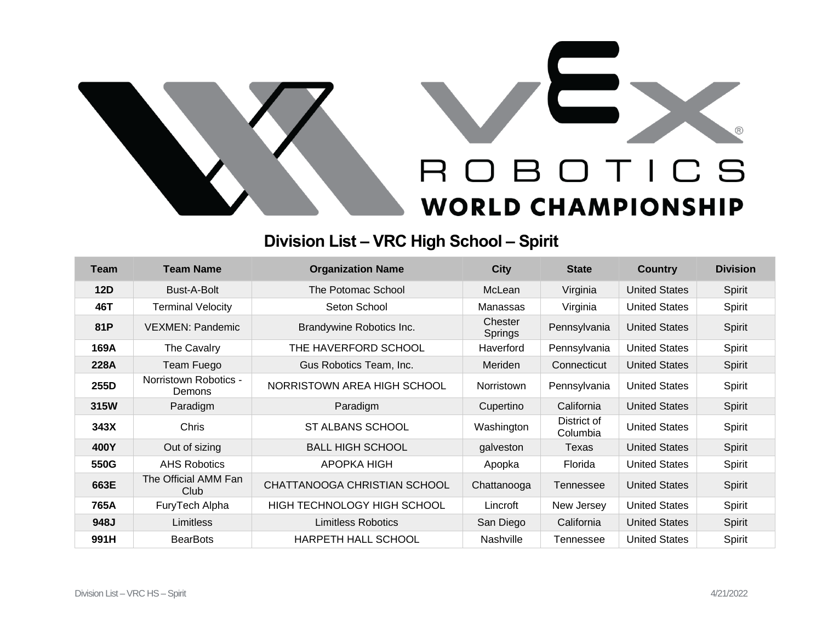



## **Division List – VRC High School – Spirit**

| Team | <b>Team Name</b>                       | <b>Organization Name</b>     | <b>City</b>        | <b>State</b>            | <b>Country</b>       | <b>Division</b> |
|------|----------------------------------------|------------------------------|--------------------|-------------------------|----------------------|-----------------|
| 12D  | Bust-A-Bolt                            | The Potomac School           | McLean             | Virginia                | <b>United States</b> | Spirit          |
| 46T  | <b>Terminal Velocity</b>               | Seton School                 | Manassas           | Virginia                | <b>United States</b> | Spirit          |
| 81P  | <b>VEXMEN: Pandemic</b>                | Brandywine Robotics Inc.     | Chester<br>Springs | Pennsylvania            | <b>United States</b> | Spirit          |
| 169A | The Cavalry                            | THE HAVERFORD SCHOOL         | Haverford          | Pennsylvania            | <b>United States</b> | Spirit          |
| 228A | Team Fuego                             | Gus Robotics Team, Inc.      | Meriden            | Connecticut             | <b>United States</b> | Spirit          |
| 255D | Norristown Robotics -<br><b>Demons</b> | NORRISTOWN AREA HIGH SCHOOL  | <b>Norristown</b>  | Pennsylvania            | <b>United States</b> | Spirit          |
| 315W | Paradigm                               | Paradigm                     | Cupertino          | California              | <b>United States</b> | Spirit          |
| 343X | Chris                                  | ST ALBANS SCHOOL             | Washington         | District of<br>Columbia | <b>United States</b> | Spirit          |
| 400Y | Out of sizing                          | <b>BALL HIGH SCHOOL</b>      | galveston          | Texas                   | <b>United States</b> | Spirit          |
| 550G | <b>AHS Robotics</b>                    | APOPKA HIGH                  | Apopka             | Florida                 | <b>United States</b> | Spirit          |
| 663E | The Official AMM Fan<br>Club           | CHATTANOOGA CHRISTIAN SCHOOL | Chattanooga        | Tennessee               | <b>United States</b> | Spirit          |
| 765A | FuryTech Alpha                         | HIGH TECHNOLOGY HIGH SCHOOL  | Lincroft           | New Jersey              | <b>United States</b> | Spirit          |
| 948J | Limitless                              | Limitless Robotics           | San Diego          | California              | <b>United States</b> | Spirit          |
| 991H | <b>BearBots</b>                        | <b>HARPETH HALL SCHOOL</b>   | Nashville          | Tennessee               | <b>United States</b> | Spirit          |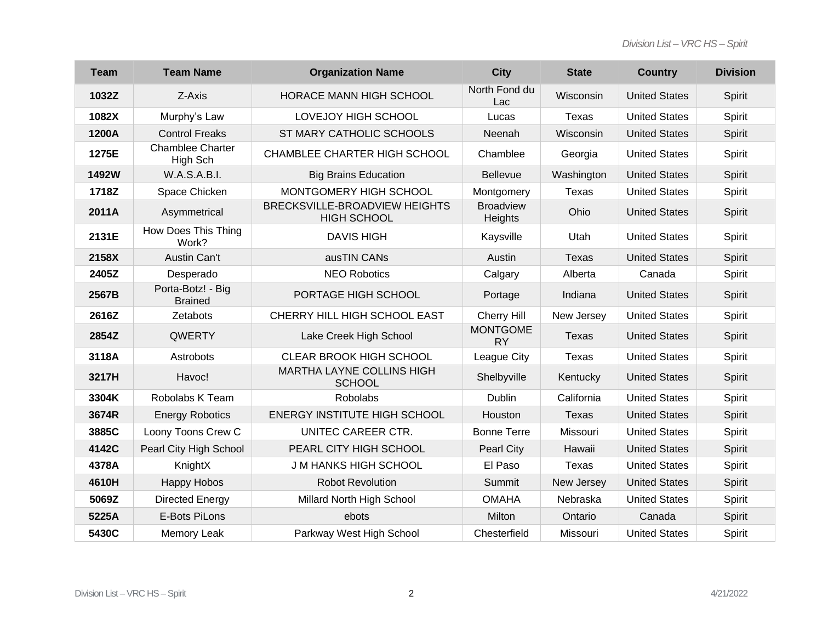| <b>Team</b> | <b>Team Name</b>                    | <b>Organization Name</b>                            | <b>City</b>                  | <b>State</b> | <b>Country</b>       | <b>Division</b> |
|-------------|-------------------------------------|-----------------------------------------------------|------------------------------|--------------|----------------------|-----------------|
| 1032Z       | Z-Axis                              | HORACE MANN HIGH SCHOOL                             | North Fond du<br>Lac         | Wisconsin    | <b>United States</b> | Spirit          |
| 1082X       | Murphy's Law                        | LOVEJOY HIGH SCHOOL                                 | Lucas                        | Texas        | <b>United States</b> | Spirit          |
| 1200A       | <b>Control Freaks</b>               | ST MARY CATHOLIC SCHOOLS                            | Neenah                       | Wisconsin    | <b>United States</b> | Spirit          |
| 1275E       | <b>Chamblee Charter</b><br>High Sch | CHAMBLEE CHARTER HIGH SCHOOL                        | Chamblee                     | Georgia      | <b>United States</b> | Spirit          |
| 1492W       | W.A.S.A.B.I.                        | <b>Big Brains Education</b>                         | <b>Bellevue</b>              | Washington   | <b>United States</b> | Spirit          |
| 1718Z       | Space Chicken                       | MONTGOMERY HIGH SCHOOL                              | Montgomery                   | Texas        | <b>United States</b> | Spirit          |
| 2011A       | Asymmetrical                        | BRECKSVILLE-BROADVIEW HEIGHTS<br><b>HIGH SCHOOL</b> | <b>Broadview</b><br>Heights  | Ohio         | <b>United States</b> | Spirit          |
| 2131E       | How Does This Thing<br>Work?        | <b>DAVIS HIGH</b>                                   | Kaysville                    | Utah         | <b>United States</b> | Spirit          |
| 2158X       | Austin Can't                        | ausTIN CANs                                         | Austin                       | <b>Texas</b> | <b>United States</b> | Spirit          |
| 2405Z       | Desperado                           | <b>NEO Robotics</b>                                 | Calgary                      | Alberta      | Canada               | Spirit          |
| 2567B       | Porta-Botz! - Big<br><b>Brained</b> | PORTAGE HIGH SCHOOL                                 | Portage                      | Indiana      | <b>United States</b> | Spirit          |
| 2616Z       | Zetabots                            | CHERRY HILL HIGH SCHOOL EAST                        | Cherry Hill                  | New Jersey   | <b>United States</b> | Spirit          |
| 2854Z       | QWERTY                              | Lake Creek High School                              | <b>MONTGOME</b><br><b>RY</b> | Texas        | <b>United States</b> | Spirit          |
| 3118A       | Astrobots                           | <b>CLEAR BROOK HIGH SCHOOL</b>                      | League City                  | Texas        | <b>United States</b> | Spirit          |
| 3217H       | Havoc!                              | MARTHA LAYNE COLLINS HIGH<br><b>SCHOOL</b>          | Shelbyville                  | Kentucky     | <b>United States</b> | Spirit          |
| 3304K       | Robolabs K Team                     | <b>Robolabs</b>                                     | Dublin                       | California   | <b>United States</b> | Spirit          |
| 3674R       | <b>Energy Robotics</b>              | <b>ENERGY INSTITUTE HIGH SCHOOL</b>                 | Houston                      | Texas        | <b>United States</b> | Spirit          |
| 3885C       | Loony Toons Crew C                  | UNITEC CAREER CTR.                                  | <b>Bonne Terre</b>           | Missouri     | <b>United States</b> | Spirit          |
| 4142C       | Pearl City High School              | PEARL CITY HIGH SCHOOL                              | <b>Pearl City</b>            | Hawaii       | <b>United States</b> | Spirit          |
| 4378A       | KnightX                             | <b>J M HANKS HIGH SCHOOL</b>                        | El Paso                      | Texas        | <b>United States</b> | Spirit          |
| 4610H       | <b>Happy Hobos</b>                  | <b>Robot Revolution</b>                             | Summit                       | New Jersey   | <b>United States</b> | Spirit          |
| 5069Z       | Directed Energy                     | Millard North High School                           | <b>OMAHA</b>                 | Nebraska     | <b>United States</b> | Spirit          |
| 5225A       | E-Bots PiLons                       | ebots                                               | Milton                       | Ontario      | Canada               | Spirit          |
| 5430C       | Memory Leak                         | Parkway West High School                            | Chesterfield                 | Missouri     | <b>United States</b> | Spirit          |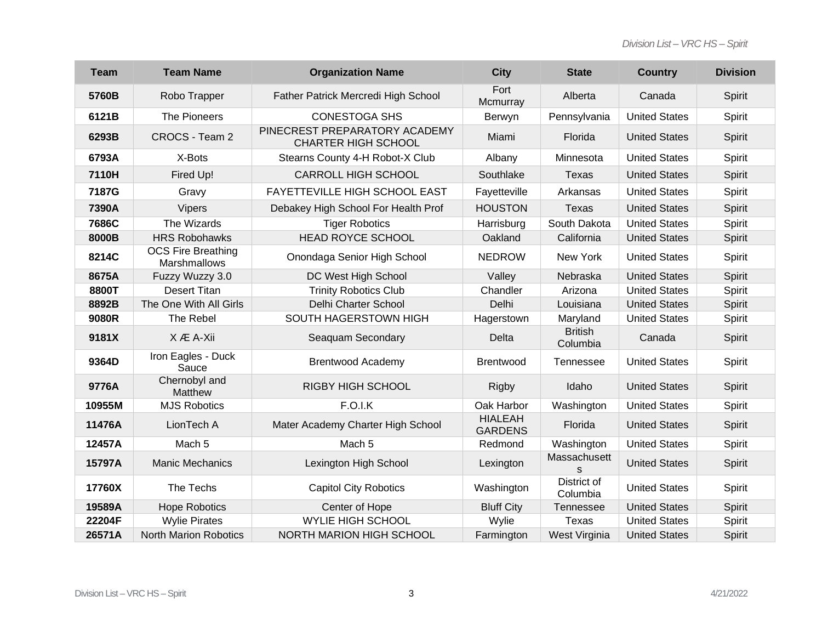| <b>Team</b> | <b>Team Name</b>                          | <b>Organization Name</b>                                    | <b>City</b>                      | <b>State</b>               | <b>Country</b>       | <b>Division</b> |
|-------------|-------------------------------------------|-------------------------------------------------------------|----------------------------------|----------------------------|----------------------|-----------------|
| 5760B       | Robo Trapper                              | Father Patrick Mercredi High School                         | Fort<br>Mcmurray                 | Alberta                    | Canada               | Spirit          |
| 6121B       | The Pioneers                              | <b>CONESTOGA SHS</b>                                        | Berwyn                           | Pennsylvania               | <b>United States</b> | Spirit          |
| 6293B       | CROCS - Team 2                            | PINECREST PREPARATORY ACADEMY<br><b>CHARTER HIGH SCHOOL</b> | Miami                            | Florida                    | <b>United States</b> | Spirit          |
| 6793A       | X-Bots                                    | Stearns County 4-H Robot-X Club                             | Albany                           | Minnesota                  | <b>United States</b> | Spirit          |
| 7110H       | Fired Up!                                 | <b>CARROLL HIGH SCHOOL</b>                                  | Southlake                        | <b>Texas</b>               | <b>United States</b> | Spirit          |
| 7187G       | Gravy                                     | FAYETTEVILLE HIGH SCHOOL EAST                               | Fayetteville                     | Arkansas                   | <b>United States</b> | Spirit          |
| 7390A       | <b>Vipers</b>                             | Debakey High School For Health Prof                         | <b>HOUSTON</b>                   | Texas                      | <b>United States</b> | Spirit          |
| 7686C       | The Wizards                               | <b>Tiger Robotics</b>                                       | Harrisburg                       | South Dakota               | <b>United States</b> | Spirit          |
| 8000B       | <b>HRS Robohawks</b>                      | <b>HEAD ROYCE SCHOOL</b>                                    | Oakland                          | California                 | <b>United States</b> | Spirit          |
| 8214C       | <b>OCS Fire Breathing</b><br>Marshmallows | Onondaga Senior High School                                 | <b>NEDROW</b>                    | New York                   | <b>United States</b> | Spirit          |
| 8675A       | Fuzzy Wuzzy 3.0                           | DC West High School                                         | Valley                           | Nebraska                   | <b>United States</b> | Spirit          |
| 8800T       | <b>Desert Titan</b>                       | <b>Trinity Robotics Club</b>                                | Chandler                         | Arizona                    | <b>United States</b> | Spirit          |
| 8892B       | The One With All Girls                    | Delhi Charter School                                        | Delhi                            | Louisiana                  | <b>United States</b> | Spirit          |
| 9080R       | The Rebel                                 | SOUTH HAGERSTOWN HIGH                                       | Hagerstown                       | Maryland                   | <b>United States</b> | Spirit          |
| 9181X       | X Æ A-Xii                                 | Seaquam Secondary                                           | Delta                            | <b>British</b><br>Columbia | Canada               | Spirit          |
| 9364D       | Iron Eagles - Duck<br>Sauce               | <b>Brentwood Academy</b>                                    | <b>Brentwood</b>                 | <b>Tennessee</b>           | <b>United States</b> | Spirit          |
| 9776A       | Chernobyl and<br>Matthew                  | <b>RIGBY HIGH SCHOOL</b>                                    | <b>Rigby</b>                     | Idaho                      | <b>United States</b> | Spirit          |
| 10955M      | <b>MJS Robotics</b>                       | <b>F.O.I.K</b>                                              | Oak Harbor                       | Washington                 | <b>United States</b> | Spirit          |
| 11476A      | LionTech A                                | Mater Academy Charter High School                           | <b>HIALEAH</b><br><b>GARDENS</b> | Florida                    | <b>United States</b> | Spirit          |
| 12457A      | Mach <sub>5</sub>                         | Mach <sub>5</sub>                                           | Redmond                          | Washington                 | <b>United States</b> | Spirit          |
| 15797A      | <b>Manic Mechanics</b>                    | Lexington High School                                       | Lexington                        | Massachusett<br>S          | <b>United States</b> | Spirit          |
| 17760X      | The Techs                                 | <b>Capitol City Robotics</b>                                | Washington                       | District of<br>Columbia    | <b>United States</b> | Spirit          |
| 19589A      | <b>Hope Robotics</b>                      | Center of Hope                                              | <b>Bluff City</b>                | <b>Tennessee</b>           | <b>United States</b> | Spirit          |
| 22204F      | <b>Wylie Pirates</b>                      | <b>WYLIE HIGH SCHOOL</b>                                    | Wylie                            | <b>Texas</b>               | <b>United States</b> | Spirit          |
| 26571A      | <b>North Marion Robotics</b>              | <b>NORTH MARION HIGH SCHOOL</b>                             | Farmington                       | West Virginia              | <b>United States</b> | Spirit          |